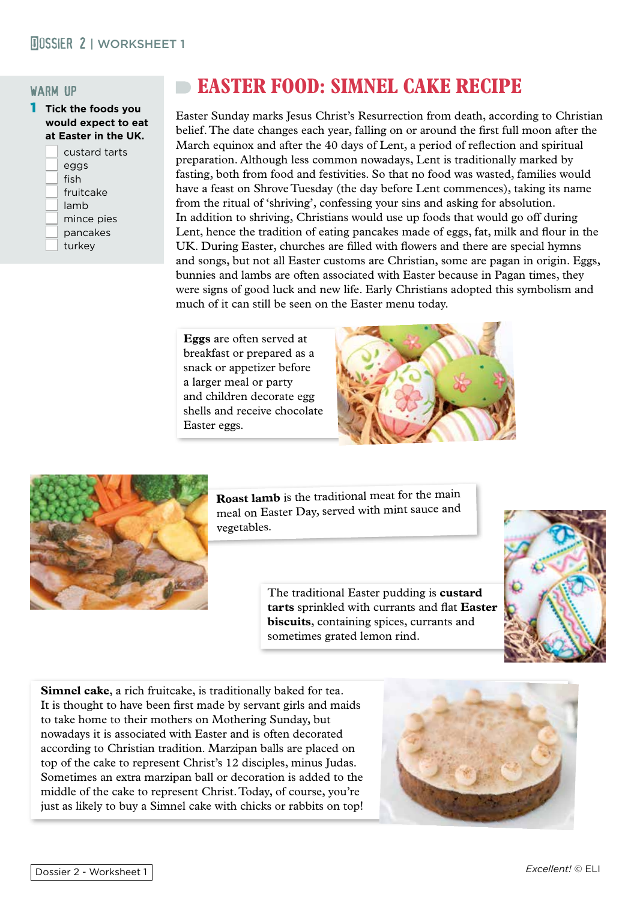#### warm up

1 **Tick the foods you would expect to eat at Easter in the UK.**

| custard tarts |
|---------------|
| eggs          |
| fish          |
| fruitcake     |
| lamb          |
| mince pies    |
| pancakes      |
| turkey        |
|               |

# **EASTER FOOD: SIMNEL CAKE RECIPE**

Easter Sunday marks Jesus Christ's Resurrection from death, according to Christian belief. The date changes each year, falling on or around the first full moon after the March equinox and after the 40 days of Lent, a period of reflection and spiritual preparation. Although less common nowadays, Lent is traditionally marked by fasting, both from food and festivities. So that no food was wasted, families would have a feast on Shrove Tuesday (the day before Lent commences), taking its name from the ritual of 'shriving', confessing your sins and asking for absolution. In addition to shriving, Christians would use up foods that would go off during Lent, hence the tradition of eating pancakes made of eggs, fat, milk and flour in the UK. During Easter, churches are filled with flowers and there are special hymns and songs, but not all Easter customs are Christian, some are pagan in origin. Eggs, bunnies and lambs are often associated with Easter because in Pagan times, they were signs of good luck and new life. Early Christians adopted this symbolism and much of it can still be seen on the Easter menu today.

**Eggs** are often served at breakfast or prepared as a snack or appetizer before a larger meal or party and children decorate egg shells and receive chocolate Easter eggs.





**Roast lamb** is the traditional meat for the main meal on Easter Day, served with mint sauce an<sup>d</sup> vegetables.

> The traditional Easter pudding is **custard tarts** sprinkled with currants and flat **Easter biscuits**, containing spices, currants and sometimes grated lemon rind.



**Simnel cake**, a rich fruitcake, is traditionally baked for tea. It is thought to have been first made by servant girls and maids to take home to their mothers on Mothering Sunday, but nowadays it is associated with Easter and is often decorated according to Christian tradition. Marzipan balls are placed on top of the cake to represent Christ's 12 disciples, minus Judas. Sometimes an extra marzipan ball or decoration is added to the middle of the cake to represent Christ. Today, of course, you're just as likely to buy a Simnel cake with chicks or rabbits on top!